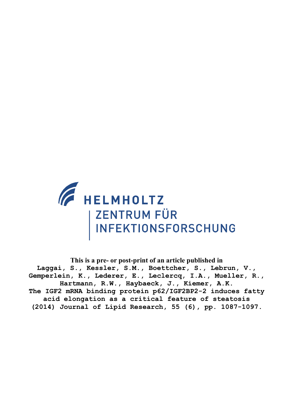

**This is a pre- or post-print of an article published in Laggai, S., Kessler, S.M., Boettcher, S., Lebrun, V., Gemperlein, K., Lederer, E., Leclercq, I.A., Mueller, R., Hartmann, R.W., Haybaeck, J., Kiemer, A.K. The IGF2 mRNA binding protein p62/IGF2BP2-2 induces fatty acid elongation as a critical feature of steatosis (2014) Journal of Lipid Research, 55 (6), pp. 1087-1097.**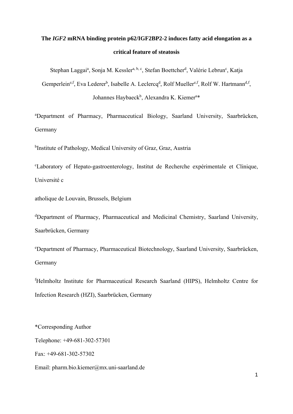# **The** *IGF2* **mRNA binding protein p62/IGF2BP2-2 induces fatty acid elongation as a critical feature of steatosis**

Stephan Laggai<sup>a</sup>, Sonja M. Kessler<sup>a, b, c</sup>, Stefan Boettcher<sup>d</sup>, Valérie Lebrun<sup>c</sup>, Katja

Gemperlein<sup>e, f</sup>, Eva Lederer<sup>b</sup>, Isabelle A. Leclercq<sup>d</sup>, Rolf Mueller<sup>e, f</sup>, Rolf W. Hartmann<sup>d, f</sup>, Johannes Haybaeck<sup>b</sup>, Alexandra K. Kiemer<sup>a\*</sup>

a Department of Pharmacy, Pharmaceutical Biology, Saarland University, Saarbrücken, Germany

<sup>b</sup>Institute of Pathology, Medical University of Graz, Graz, Austria

c Laboratory of Hepato-gastroenterology, Institut de Recherche expérimentale et Clinique, Université c

atholique de Louvain, Brussels, Belgium

d Department of Pharmacy, Pharmaceutical and Medicinal Chemistry, Saarland University, Saarbrücken, Germany

e Department of Pharmacy, Pharmaceutical Biotechnology, Saarland University, Saarbrücken, Germany

f Helmholtz Institute for Pharmaceutical Research Saarland (HIPS), Helmholtz Centre for Infection Research (HZI), Saarbrücken, Germany

\*Corresponding Author Telephone: +49-681-302-57301 Fax: +49-681-302-57302 Email: pharm.bio.kiemer@mx.uni-saarland.de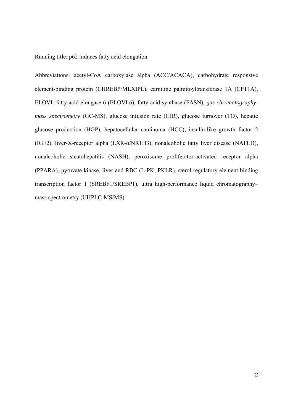Running title: p62 induces fatty acid elongation

Abbreviations: acetyl-CoA carboxylase alpha (ACC/ACACA), carbohydrate responsive element-binding protein (CHREBP/MLXIPL), carnitine palmitoyltransferase 1A (CPT1A), ELOVL fatty acid elongase 6 (ELOVL6), fatty acid synthase (FASN), *gas chromatographymass spectrometry* (GC-MS), glucose infusion rate (GIR), glucose turnover (TO), hepatic glucose production (HGP), hepatocellular carcinoma (HCC), insulin-like growth factor 2 (IGF2), liver-X-receptor alpha (LXR-α/NR1H3), nonalcoholic fatty liver disease (NAFLD), nonalcoholic steatohepatitis (NASH), peroxisome proliferator-activated receptor alpha (PPARA), pyruvate kinase, liver and RBC (L-PK, PKLR), sterol regulatory element binding transcription factor 1 (SREBF1/SREBP1), ultra high-performance liquid chromatography– mass spectrometry (UHPLC-MS/MS)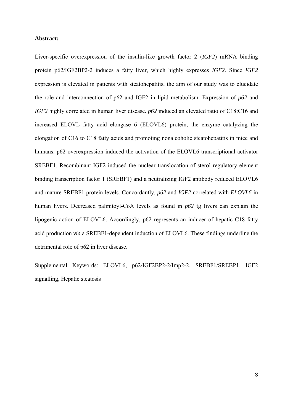#### **Abstract:**

Liver-specific overexpression of the insulin-like growth factor 2 (*IGF2*) mRNA binding protein p62/IGF2BP2-2 induces a fatty liver, which highly expresses *IGF2*. Since *IGF2* expression is elevated in patients with steatohepatitis, the aim of our study was to elucidate the role and interconnection of p62 and IGF2 in lipid metabolism. Expression of *p62* and *IGF2* highly correlated in human liver disease. *p62* induced an elevated ratio of C18:C16 and increased ELOVL fatty acid elongase 6 (ELOVL6) protein, the enzyme catalyzing the elongation of C16 to C18 fatty acids and promoting nonalcoholic steatohepatitis in mice and humans. p62 overexpression induced the activation of the ELOVL6 transcriptional activator SREBF1. Recombinant IGF2 induced the nuclear translocation of sterol regulatory element binding transcription factor 1 (SREBF1) and a neutralizing IGF2 antibody reduced ELOVL6 and mature SREBF1 protein levels. Concordantly, *p62* and *IGF2* correlated with *ELOVL6* in human livers. Decreased palmitoyl-CoA levels as found in *p62* tg livers can explain the lipogenic action of ELOVL6. Accordingly, p62 represents an inducer of hepatic C18 fatty acid production *via* a SREBF1-dependent induction of ELOVL6. These findings underline the detrimental role of p62 in liver disease.

Supplemental Keywords: ELOVL6, p62/IGF2BP2-2/Imp2-2, SREBF1/SREBP1, IGF2 signalling, Hepatic steatosis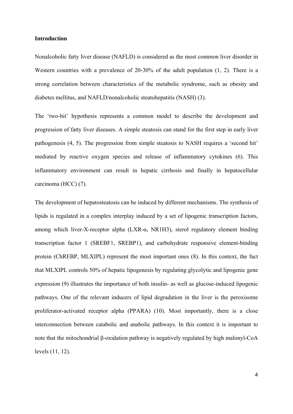#### **Introduction**

Nonalcoholic fatty liver disease (NAFLD) is considered as the most common liver disorder in Western countries with a prevalence of 20-30% of the adult population (1, 2). There is a strong correlation between characteristics of the metabolic syndrome, such as obesity and diabetes mellitus, and NAFLD/nonalcoholic steatohepatitis (NASH) (3).

The 'two-hit' hypothesis represents a common model to describe the development and progression of fatty liver diseases. A simple steatosis can stand for the first step in early liver pathogenesis (4, 5). The progression from simple steatosis to NASH requires a 'second hit' mediated by reactive oxygen species and release of inflammatory cytokines (6). This inflammatory environment can result in hepatic cirrhosis and finally in hepatocellular carcinoma (HCC) (7).

The development of hepatosteatosis can be induced by different mechanisms. The synthesis of lipids is regulated in a complex interplay induced by a set of lipogenic transcription factors, among which liver-X-receptor alpha (LXR-α, NR1H3), sterol regulatory element binding transcription factor 1 (SREBF1, SREBP1), and carbohydrate responsive element-binding protein (ChREBP, MLXIPL) represent the most important ones (8). In this context, the fact that MLXIPL controls 50% of hepatic lipogenesis by regulating glycolytic and lipogenic gene expression (9) illustrates the importance of both insulin- as well as glucose-induced lipogenic pathways. One of the relevant inducers of lipid degradation in the liver is the peroxisome proliferator-activated receptor alpha (PPARA) (10). Most importantly, there is a close interconnection between catabolic and anabolic pathways. In this context it is important to note that the mitochondrial β-oxidation pathway is negatively regulated by high malonyl-CoA levels (11, 12).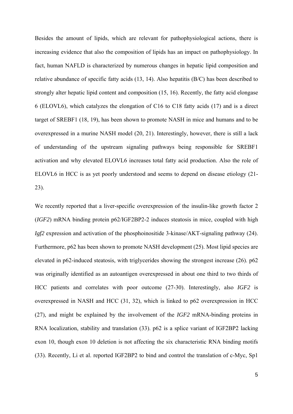Besides the amount of lipids, which are relevant for pathophysiological actions, there is increasing evidence that also the composition of lipids has an impact on pathophysiology. In fact, human NAFLD is characterized by numerous changes in hepatic lipid composition and relative abundance of specific fatty acids (13, 14). Also hepatitis (B/C) has been described to strongly alter hepatic lipid content and composition (15, 16). Recently, the fatty acid elongase 6 (ELOVL6), which catalyzes the elongation of C16 to C18 fatty acids (17) and is a direct target of SREBF1 (18, 19), has been shown to promote NASH in mice and humans and to be overexpressed in a murine NASH model (20, 21). Interestingly, however, there is still a lack of understanding of the upstream signaling pathways being responsible for SREBF1 activation and why elevated ELOVL6 increases total fatty acid production. Also the role of ELOVL6 in HCC is as yet poorly understood and seems to depend on disease etiology (21- 23).

We recently reported that a liver-specific overexpression of the insulin-like growth factor 2 (*IGF2*) mRNA binding protein p62/IGF2BP2-2 induces steatosis in mice, coupled with high *Igf2* expression and activation of the phosphoinositide 3-kinase/AKT-signaling pathway (24). Furthermore, p62 has been shown to promote NASH development (25). Most lipid species are elevated in p62-induced steatosis, with triglycerides showing the strongest increase (26). p62 was originally identified as an autoantigen overexpressed in about one third to two thirds of HCC patients and correlates with poor outcome (27-30). Interestingly, also *IGF2* is overexpressed in NASH and HCC (31, 32), which is linked to p62 overexpression in HCC (27), and might be explained by the involvement of the *IGF2* mRNA-binding proteins in RNA localization, stability and translation (33). p62 is a splice variant of IGF2BP2 lacking exon 10, though exon 10 deletion is not affecting the six characteristic RNA binding motifs (33). Recently, Li et al. reported IGF2BP2 to bind and control the translation of c-Myc, Sp1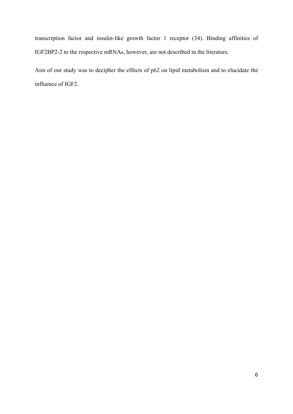transcription factor and insulin-like growth factor 1 receptor (34). Binding affinities of IGF2BP2-2 to the respective mRNAs, however, are not described in the literature.

Aim of our study was to decipher the effects of p62 on lipid metabolism and to elucidate the influence of IGF2.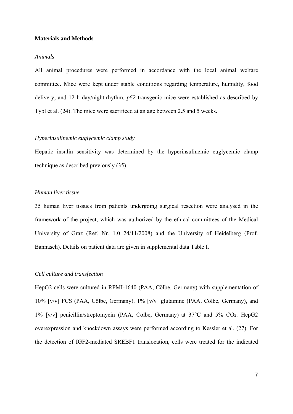#### **Materials and Methods**

#### *Animals*

All animal procedures were performed in accordance with the local animal welfare committee. Mice were kept under stable conditions regarding temperature, humidity, food delivery, and 12 h day/night rhythm. *p62* transgenic mice were established as described by Tybl et al. (24). The mice were sacrificed at an age between 2.5 and 5 weeks.

#### *Hyperinsulinemic euglycemic clamp study*

Hepatic insulin sensitivity was determined by the hyperinsulinemic euglycemic clamp technique as described previously (35).

# *Human liver tissue*

35 human liver tissues from patients undergoing surgical resection were analysed in the framework of the project, which was authorized by the ethical committees of the Medical University of Graz (Ref. Nr. 1.0 24/11/2008) and the University of Heidelberg (Prof. Bannasch). Details on patient data are given in supplemental data Table I.

## *Cell culture and transfection*

HepG2 cells were cultured in RPMI-1640 (PAA, Cölbe, Germany) with supplementation of 10% [v/v] FCS (PAA, Cölbe, Germany), 1% [v/v] glutamine (PAA, Cölbe, Germany), and 1% [v/v] penicillin/streptomycin (PAA, Cölbe, Germany) at 37°C and 5% CO2. HepG2 overexpression and knockdown assays were performed according to Kessler et al. (27). For the detection of IGF2-mediated SREBF1 translocation, cells were treated for the indicated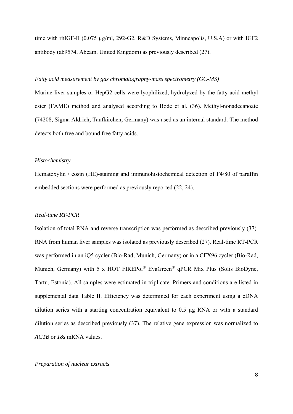time with rhIGF-II (0.075 µg/ml, 292-G2, R&D Systems, Minneapolis, U.S.A) or with IGF2 antibody (ab9574, Abcam, United Kingdom) as previously described (27).

# *Fatty acid measurement by gas chromatography-mass spectrometry (GC-MS)*

Murine liver samples or HepG2 cells were lyophilized, hydrolyzed by the fatty acid methyl ester (FAME) method and analysed according to Bode et al. (36). Methyl-nonadecanoate (74208, Sigma Aldrich, Taufkirchen, Germany) was used as an internal standard. The method detects both free and bound free fatty acids.

#### *Histochemistry*

Hematoxylin / eosin (HE)-staining and immunohistochemical detection of F4/80 of paraffin embedded sections were performed as previously reported (22, 24).

#### *Real-time RT-PCR*

Isolation of total RNA and reverse transcription was performed as described previously (37). RNA from human liver samples was isolated as previously described (27). Real-time RT-PCR was performed in an iQ5 cycler (Bio-Rad, Munich, Germany) or in a CFX96 cycler (Bio-Rad, Munich, Germany) with 5 x HOT FIREPol<sup>®</sup> EvaGreen<sup>®</sup> qPCR Mix Plus (Solis BioDyne, Tartu, Estonia). All samples were estimated in triplicate. Primers and conditions are listed in supplemental data Table II. Efficiency was determined for each experiment using a cDNA dilution series with a starting concentration equivalent to 0.5 µg RNA or with a standard dilution series as described previously (37). The relative gene expression was normalized to *ACTB* or *18s* mRNA values.

#### *Preparation of nuclear extracts*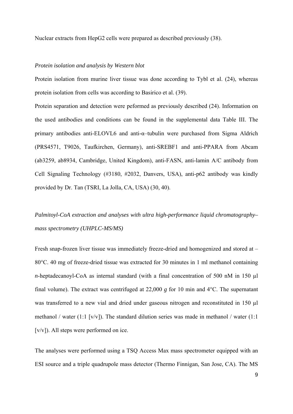Nuclear extracts from HepG2 cells were prepared as described previously (38).

#### *Protein isolation and analysis by Western blot*

Protein isolation from murine liver tissue was done according to Tybl et al. (24), whereas protein isolation from cells was according to Basirico et al. (39).

Protein separation and detection were peformed as previously described (24). Information on the used antibodies and conditions can be found in the supplemental data Table III. The primary antibodies anti-ELOVL6 and anti-α–tubulin were purchased from Sigma Aldrich (PRS4571, T9026, Taufkirchen, Germany), anti-SREBF1 and anti-PPARA from Abcam (ab3259, ab8934, Cambridge, United Kingdom), anti-FASN, anti-lamin A/C antibody from Cell Signaling Technology (#3180, #2032, Danvers, USA), anti-p62 antibody was kindly provided by Dr. Tan (TSRI, La Jolla, CA, USA) (30, 40).

*Palmitoyl-CoA extraction and analyses with ultra high-performance liquid chromatography– mass spectrometry (UHPLC-MS/MS)* 

Fresh snap-frozen liver tissue was immediately freeze-dried and homogenized and stored at – 80°C. 40 mg of freeze-dried tissue was extracted for 30 minutes in 1 ml methanol containing *n*-heptadecanoyl-CoA as internal standard (with a final concentration of 500 nM in 150 µl final volume). The extract was centrifuged at 22,000 *g* for 10 min and 4°C. The supernatant was transferred to a new vial and dried under gaseous nitrogen and reconstituted in 150 µl methanol / water (1:1 [v/v]). The standard dilution series was made in methanol / water (1:1) [v/v]). All steps were performed on ice.

The analyses were performed using a TSQ Access Max mass spectrometer equipped with an ESI source and a triple quadrupole mass detector (Thermo Finnigan, San Jose, CA). The MS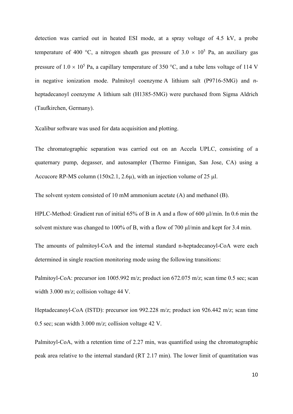detection was carried out in heated ESI mode, at a spray voltage of 4.5 kV, a probe temperature of 400 °C, a nitrogen sheath gas pressure of  $3.0 \times 10^5$  Pa, an auxiliary gas pressure of  $1.0 \times 10^5$  Pa, a capillary temperature of 350 °C, and a tube lens voltage of 114 V in negative ionization mode. Palmitoyl coenzyme A lithium salt (P9716-5MG) and *n*heptadecanoyl coenzyme A lithium salt (H1385-5MG) were purchased from Sigma Aldrich (Taufkirchen, Germany).

Xcalibur software was used for data acquisition and plotting.

The chromatographic separation was carried out on an Accela UPLC, consisting of a quaternary pump, degasser, and autosampler (Thermo Finnigan, San Jose, CA) using a Accucore RP-MS column  $(150x2.1, 2.6u)$ , with an injection volume of 25 ul.

The solvent system consisted of 10 mM ammonium acetate (A) and methanol (B).

HPLC-Method: Gradient run of initial 65% of B in A and a flow of 600 ul/min. In 0.6 min the solvent mixture was changed to 100% of B, with a flow of 700  $\mu$ l/min and kept for 3.4 min.

The amounts of palmitoyl-CoA and the internal standard n-heptadecanoyl-CoA were each determined in single reaction monitoring mode using the following transitions:

Palmitoyl-CoA: precursor ion 1005.992 m/z; product ion 672.075 m/z; scan time 0.5 sec; scan width 3.000 m/z; collision voltage 44 V.

Heptadecanoyl-CoA (ISTD): precursor ion 992.228 m/z; product ion 926.442 m/z; scan time 0.5 sec; scan width 3.000 m/z; collision voltage 42 V.

Palmitoyl-CoA, with a retention time of 2.27 min, was quantified using the chromatographic peak area relative to the internal standard (RT 2.17 min). The lower limit of quantitation was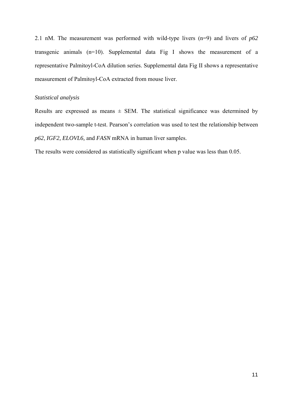2.1 nM. The measurement was performed with wild-type livers (n=9) and livers of *p62* transgenic animals (n=10). Supplemental data Fig I shows the measurement of a representative Palmitoyl-CoA dilution series. Supplemental data Fig II shows a representative measurement of Palmitoyl-CoA extracted from mouse liver.

# *Statistical analysis*

Results are expressed as means  $\pm$  SEM. The statistical significance was determined by independent two-sample t-test. Pearson's correlation was used to test the relationship between *p62*, *IGF2, ELOVL6,* and *FASN* mRNA in human liver samples.

The results were considered as statistically significant when p value was less than 0.05.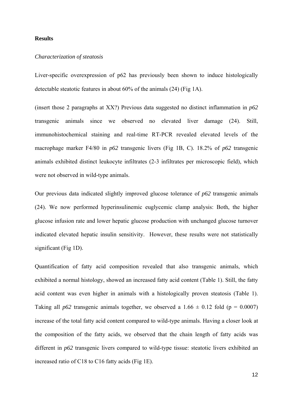#### **Results**

#### *Characterization of steatosis*

Liver-specific overexpression of p62 has previously been shown to induce histologically detectable steatotic features in about 60% of the animals (24) (Fig 1A).

(insert those 2 paragraphs at XX?) Previous data suggested no distinct inflammation in *p62* transgenic animals since we observed no elevated liver damage (24). Still, immunohistochemical staining and real-time RT-PCR revealed elevated levels of the macrophage marker F4/80 in *p62* transgenic livers (Fig 1B, C). 18.2% of *p62* transgenic animals exhibited distinct leukocyte infiltrates (2-3 infiltrates per microscopic field), which were not observed in wild-type animals.

Our previous data indicated slightly improved glucose tolerance of *p62* transgenic animals (24). We now performed hyperinsulinemic euglycemic clamp analysis: Both, the higher glucose infusion rate and lower hepatic glucose production with unchanged glucose turnover indicated elevated hepatic insulin sensitivity. However, these results were not statistically significant (Fig 1D).

Quantification of fatty acid composition revealed that also transgenic animals, which exhibited a normal histology, showed an increased fatty acid content (Table 1). Still, the fatty acid content was even higher in animals with a histologically proven steatosis (Table 1). Taking all *p62* transgenic animals together, we observed a  $1.66 \pm 0.12$  fold (p = 0.0007) increase of the total fatty acid content compared to wild-type animals. Having a closer look at the composition of the fatty acids, we observed that the chain length of fatty acids was different in *p62* transgenic livers compared to wild-type tissue: steatotic livers exhibited an increased ratio of C18 to C16 fatty acids (Fig 1E).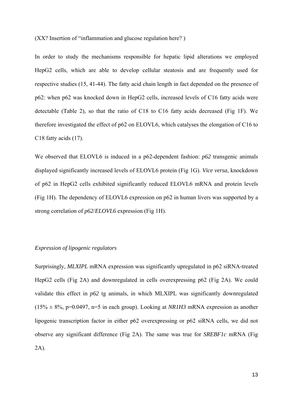(XX? Insertion of "inflammation and glucose regulation here? )

In order to study the mechanisms responsible for hepatic lipid alterations we employed HepG2 cells, which are able to develop cellular steatosis and are frequently used for respective studies (15, 41-44). The fatty acid chain length in fact depended on the presence of p62: when p62 was knocked down in HepG2 cells, increased levels of C16 fatty acids were detectable (Table 2), so that the ratio of C18 to C16 fatty acids decreased (Fig 1F). We therefore investigated the effect of p62 on ELOVL6, which catalyses the elongation of C16 to C18 fatty acids (17).

We observed that ELOVL6 is induced in a p62-dependent fashion: *p62* transgenic animals displayed significantly increased levels of ELOVL6 protein (Fig 1G). *Vice versa*, knockdown of p62 in HepG2 cells exhibited significantly reduced ELOVL6 mRNA and protein levels (Fig 1H). The dependency of ELOVL6 expression on p62 in human livers was supported by a strong correlation of *p62*/*ELOVL6* expression (Fig 1H).

#### *Expression of lipogenic regulators*

Surprisingly, *MLXIPL* mRNA expression was significantly upregulated in p62 siRNA-treated HepG2 cells (Fig 2A) and downregulated in cells overexpressing p62 (Fig 2A). We could validate this effect in *p62* tg animals, in which MLXIPL was significantly downregulated  $(15\% \pm 8\%, p=0.0497, n=5$  in each group). Looking at *NR1H3* mRNA expression as another lipogenic transcription factor in either p62 overexpressing or p62 siRNA cells, we did not observe any significant difference (Fig 2A). The same was true for *SREBF1c* mRNA (Fig 2A).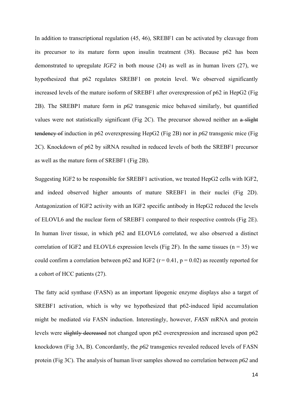In addition to transcriptional regulation (45, 46), SREBF1 can be activated by cleavage from its precursor to its mature form upon insulin treatment (38). Because p62 has been demonstrated to upregulate *IGF2* in both mouse (24) as well as in human livers (27), we hypothesized that p62 regulates SREBF1 on protein level. We observed significantly increased levels of the mature isoform of SREBF1 after overexpression of p62 in HepG2 (Fig 2B). The SREBP1 mature form in *p62* transgenic mice behaved similarly, but quantified values were not statistically significant (Fig 2C). The precursor showed neither an a slight tendency of induction in p62 overexpressing HepG2 (Fig 2B) nor in *p62* transgenic mice (Fig 2C). Knockdown of p62 by siRNA resulted in reduced levels of both the SREBF1 precursor as well as the mature form of SREBF1 (Fig 2B).

Suggesting IGF2 to be responsible for SREBF1 activation, we treated HepG2 cells with IGF2, and indeed observed higher amounts of mature SREBF1 in their nuclei (Fig 2D). Antagonization of IGF2 activity with an IGF2 specific antibody in HepG2 reduced the levels of ELOVL6 and the nuclear form of SREBF1 compared to their respective controls (Fig 2E). In human liver tissue, in which p62 and ELOVL6 correlated, we also observed a distinct correlation of IGF2 and ELOVL6 expression levels (Fig 2F). In the same tissues ( $n = 35$ ) we could confirm a correlation between p62 and IGF2 ( $r = 0.41$ ,  $p = 0.02$ ) as recently reported for a cohort of HCC patients (27).

The fatty acid synthase (FASN) as an important lipogenic enzyme displays also a target of SREBF1 activation, which is why we hypothesized that p62-induced lipid accumulation might be mediated *via* FASN induction. Interestingly, however, *FASN* mRNA and protein levels were slightly decreased not changed upon p62 overexpression and increased upon p62 knockdown (Fig 3A, B). Concordantly, the *p62* transgenics revealed reduced levels of FASN protein (Fig 3C). The analysis of human liver samples showed no correlation between *p62* and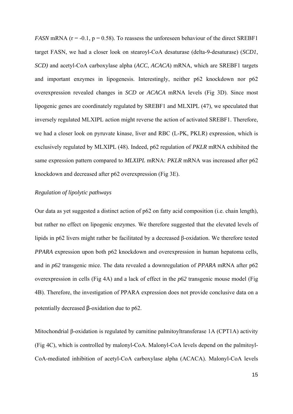*FASN* mRNA ( $r = -0.1$ ,  $p = 0.58$ ). To reassess the unforeseen behaviour of the direct SREBF1 target FASN, we had a closer look on stearoyl-CoA desaturase (delta-9-desaturase) (*SCD1*, *SCD)* and acetyl-CoA carboxylase alpha (*ACC*, *ACACA*) mRNA, which are SREBF1 targets and important enzymes in lipogenesis. Interestingly, neither p62 knockdown nor p62 overexpression revealed changes in *SCD* or *ACACA* mRNA levels (Fig 3D). Since most lipogenic genes are coordinately regulated by SREBF1 and MLXIPL (47), we speculated that inversely regulated MLXIPL action might reverse the action of activated SREBF1. Therefore, we had a closer look on pyruvate kinase, liver and RBC (L-PK, PKLR) expression, which is exclusively regulated by MLXIPL (48). Indeed, p62 regulation of *PKLR* mRNA exhibited the same expression pattern compared to *MLXIPL* mRNA: *PKLR* mRNA was increased after p62 knockdown and decreased after p62 overexpression (Fig 3E).

# *Regulation of lipolytic pathways*

Our data as yet suggested a distinct action of p62 on fatty acid composition (i.e. chain length), but rather no effect on lipogenic enzymes. We therefore suggested that the elevated levels of lipids in p62 livers might rather be facilitated by a decreased β-oxidation. We therefore tested *PPARA* expression upon both p62 knockdown and overexpression in human hepatoma cells, and in *p62* transgenic mice. The data revealed a downregulation of *PPARA* mRNA after p62 overexpression in cells (Fig 4A) and a lack of effect in the *p62* transgenic mouse model (Fig 4B). Therefore, the investigation of PPARA expression does not provide conclusive data on a potentially decreased β-oxidation due to p62.

Mitochondrial β-oxidation is regulated by carnitine palmitoyltransferase 1A (CPT1A) activity (Fig 4C), which is controlled by malonyl-CoA. Malonyl-CoA levels depend on the palmitoyl-CoA-mediated inhibition of acetyl-CoA carboxylase alpha (ACACA). Malonyl-CoA levels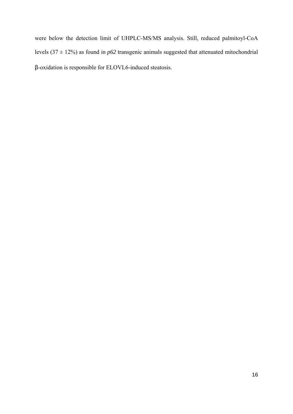were below the detection limit of UHPLC-MS/MS analysis. Still, reduced palmitoyl-CoA levels  $(37 \pm 12\%)$  as found in *p62* transgenic animals suggested that attenuated mitochondrial β-oxidation is responsible for ELOVL6-induced steatosis.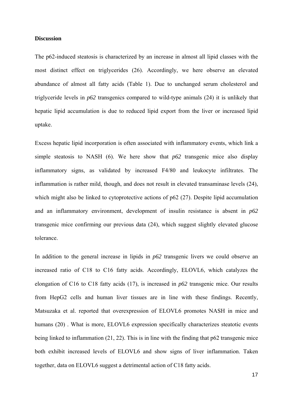# **Discussion**

The p62-induced steatosis is characterized by an increase in almost all lipid classes with the most distinct effect on triglycerides (26). Accordingly, we here observe an elevated abundance of almost all fatty acids (Table 1). Due to unchanged serum cholesterol and triglyceride levels in *p62* transgenics compared to wild-type animals (24) it is unlikely that hepatic lipid accumulation is due to reduced lipid export from the liver or increased lipid uptake.

Excess hepatic lipid incorporation is often associated with inflammatory events, which link a simple steatosis to NASH (6). We here show that *p62* transgenic mice also display inflammatory signs, as validated by increased F4/80 and leukocyte infiltrates. The inflammation is rather mild, though, and does not result in elevated transaminase levels (24), which might also be linked to cytoprotective actions of p62 (27). Despite lipid accumulation and an inflammatory environment, development of insulin resistance is absent in *p62* transgenic mice confirming our previous data (24), which suggest slightly elevated glucose tolerance.

In addition to the general increase in lipids in *p62* transgenic livers we could observe an increased ratio of C18 to C16 fatty acids. Accordingly, ELOVL6, which catalyzes the elongation of C16 to C18 fatty acids (17), is increased in *p62* transgenic mice. Our results from HepG2 cells and human liver tissues are in line with these findings. Recently, Matsuzaka et al. reported that overexpression of ELOVL6 promotes NASH in mice and humans (20). What is more, ELOVL6 expression specifically characterizes steatotic events being linked to inflammation (21, 22). This is in line with the finding that p62 transgenic mice both exhibit increased levels of ELOVL6 and show signs of liver inflammation. Taken together, data on ELOVL6 suggest a detrimental action of C18 fatty acids.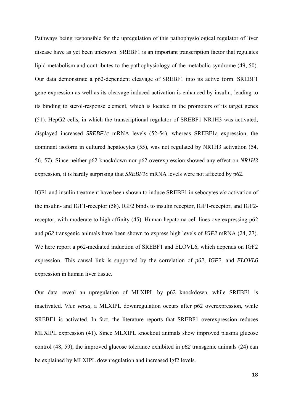Pathways being responsible for the upregulation of this pathophysiological regulator of liver disease have as yet been unknown. SREBF1 is an important transcription factor that regulates lipid metabolism and contributes to the pathophysiology of the metabolic syndrome (49, 50). Our data demonstrate a p62-dependent cleavage of SREBF1 into its active form. SREBF1 gene expression as well as its cleavage-induced activation is enhanced by insulin, leading to its binding to sterol-response element, which is located in the promoters of its target genes (51). HepG2 cells, in which the transcriptional regulator of SREBF1 NR1H3 was activated, displayed increased *SREBF1c* mRNA levels (52-54), whereas SREBF1a expression, the dominant isoform in cultured hepatocytes (55), was not regulated by NR1H3 activation (54, 56, 57). Since neither p62 knockdown nor p62 overexpression showed any effect on *NR1H3*  expression, it is hardly surprising that *SREBF1c* mRNA levels were not affected by p62.

IGF1 and insulin treatment have been shown to induce SREBF1 in sebocytes *via* activation of the insulin- and IGF1-receptor (58). IGF2 binds to insulin receptor, IGF1-receptor, and IGF2 receptor, with moderate to high affinity (45). Human hepatoma cell lines overexpressing p62 and *p62* transgenic animals have been shown to express high levels of *IGF2* mRNA (24, 27). We here report a p62-mediated induction of SREBF1 and ELOVL6, which depends on IGF2 expression. This causal link is supported by the correlation of *p62*, *IGF2,* and *ELOVL6* expression in human liver tissue.

Our data reveal an upregulation of MLXIPL by p62 knockdown, while SREBF1 is inactivated*. Vice versa,* a MLXIPL downregulation occurs after p62 overexpression, while SREBF1 is activated. In fact, the literature reports that SREBF1 overexpression reduces MLXIPL expression (41). Since MLXIPL knockout animals show improved plasma glucose control (48, 59), the improved glucose tolerance exhibited in *p62* transgenic animals (24) can be explained by MLXIPL downregulation and increased Igf2 levels.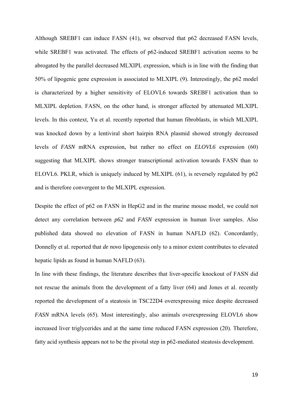Although SREBF1 can induce FASN (41), we observed that p62 decreased FASN levels, while SREBF1 was activated. The effects of p62-induced SREBF1 activation seems to be abrogated by the parallel decreased MLXIPL expression, which is in line with the finding that 50% of lipogenic gene expression is associated to MLXIPL (9). Interestingly, the p62 model is characterized by a higher sensitivity of ELOVL6 towards SREBF1 activation than to MLXIPL depletion. FASN, on the other hand, is stronger affected by attenuated MLXIPL levels. In this context, Yu et al. recently reported that human fibroblasts, in which MLXIPL was knocked down by a lentiviral short hairpin RNA plasmid showed strongly decreased levels of *FASN* mRNA expression, but rather no effect on *ELOVL6* expression (60) suggesting that MLXIPL shows stronger transcriptional activation towards FASN than to ELOVL6. PKLR, which is uniquely induced by MLXIPL (61), is reversely regulated by p62 and is therefore convergent to the MLXIPL expression.

Despite the effect of p62 on FASN in HepG2 and in the murine mouse model, we could not detect any correlation between *p62* and *FASN* expression in human liver samples. Also published data showed no elevation of FASN in human NAFLD (62). Concordantly, Donnelly et al. reported that *de novo* lipogenesis only to a minor extent contributes to elevated hepatic lipids as found in human NAFLD (63).

In line with these findings, the literature describes that liver-specific knockout of FASN did not rescue the animals from the development of a fatty liver (64) and Jones et al. recently reported the development of a steatosis in TSC22D4 overexpressing mice despite decreased *FASN* mRNA levels (65). Most interestingly, also animals overexpressing ELOVL6 show increased liver triglycerides and at the same time reduced FASN expression (20). Therefore, fatty acid synthesis appears not to be the pivotal step in p62-mediated steatosis development.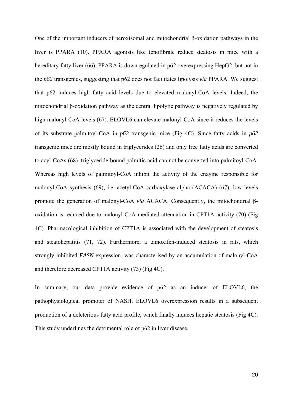One of the important inducers of peroxisomal and mitochondrial β-oxidation pathways in the liver is PPARA (10). PPARA agonists like fenofibrate reduce steatosis in mice with a hereditary fatty liver (66). PPARA is downregulated in p62 overexpressing HepG2, but not in the *p62* transgenics, suggesting that p62 does not facilitates lipolysis *via* PPARA. We suggest that p62 induces high fatty acid levels due to elevated malonyl-CoA levels. Indeed, the mitochondrial β-oxidation pathway as the central lipolytic pathway is negatively regulated by high malonyl-CoA levels (67). ELOVL6 can elevate malonyl-CoA since it reduces the levels of its substrate palmitoyl-CoA in *p62* transgenic mice (Fig 4C). Since fatty acids in *p62*  transgenic mice are mostly bound in triglycerides (26) and only free fatty acids are converted to acyl-CoAs (68), triglyceride-bound palmitic acid can not be converted into palmitoyl-CoA. Whereas high levels of palmitoyl-CoA inhibit the activity of the enzyme responsible for malonyl-CoA synthesis (69), i.e. acetyl-CoA carboxylase alpha (ACACA) (67), low levels promote the generation of malonyl-CoA *via* ACACA. Consequently, the mitochondrial βoxidation is reduced due to malonyl-CoA-mediated attenuation in CPT1A activity (70) (Fig 4C). Pharmacological inhibition of CPT1A is associated with the development of steatosis and steatohepatitis (71, 72). Furthermore, a tamoxifen-induced steatosis in rats, which strongly inhibited *FASN* expression, was characterised by an accumulation of malonyl-CoA and therefore decreased CPT1A activity (73) (Fig 4C).

In summary, our data provide evidence of p62 as an inducer of ELOVL6, the pathophysiological promoter of NASH. ELOVL6 overexpression results in a subsequent production of a deleterious fatty acid profile, which finally induces hepatic steatosis (Fig 4C). This study underlines the detrimental role of p62 in liver disease.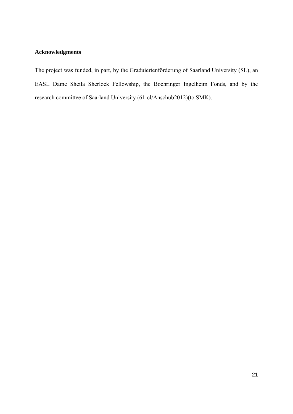# **Acknowledgments**

The project was funded, in part, by the Graduiertenförderung of Saarland University (SL), an EASL Dame Sheila Sherlock Fellowship, the Boehringer Ingelheim Fonds, and by the research committee of Saarland University (61-cl/Anschub2012)(to SMK).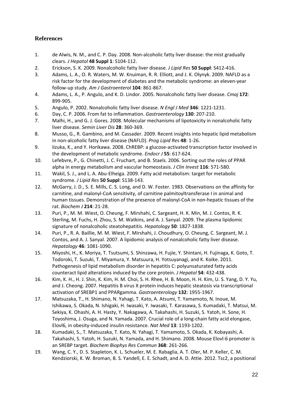# **References**

- 1. de Alwis, N. M., and C. P. Day. 2008. Non‐alcoholic fatty liver disease: the mist gradually clears. *J Hepatol* **48 Suppl 1**: S104‐112.
- 2. Erickson, S. K. 2009. Nonalcoholic fatty liver disease. *J Lipid Res* **50 Suppl**: S412‐416.
- 3. Adams, L. A., O. R. Waters, M. W. Knuiman, R. R. Elliott, and J. K. Olynyk. 2009. NAFLD as a risk factor for the development of diabetes and the metabolic syndrome: an eleven‐year follow‐up study. *Am J Gastroenterol* **104**: 861‐867.
- 4. Adams, L. A., P. Angulo, and K. D. Lindor. 2005. Nonalcoholic fatty liver disease. *Cmaj* **172**: 899‐905.
- 5. Angulo, P. 2002. Nonalcoholic fatty liver disease. *N Engl J Med* **346**: 1221‐1231.
- 6. Day, C. P. 2006. From fat to inflammation. *Gastroenterology* **130**: 207‐210.
- 7. Malhi, H., and G. J. Gores. 2008. Molecular mechanisms of lipotoxicity in nonalcoholic fatty liver disease. *Semin Liver Dis* **28**: 360‐369.
- 8. Musso, G., R. Gambino, and M. Cassader. 2009. Recent insights into hepatic lipid metabolism in non‐alcoholic fatty liver disease (NAFLD). *Prog Lipid Res* **48**: 1‐26.
- 9. Iizuka, K., and Y. Horikawa. 2008. ChREBP: a glucose-activated transcription factor involved in the development of metabolic syndrome. *Endocr J* **55**: 617‐624.
- 10. Lefebvre, P., G. Chinetti, J. C. Fruchart, and B. Staels. 2006. Sorting out the roles of PPAR alpha in energy metabolism and vascular homeostasis. *J Clin Invest* **116**: 571‐580.
- 11. Wakil, S. J., and L. A. Abu‐Elheiga. 2009. Fatty acid metabolism: target for metabolic syndrome. *J Lipid Res* **50 Suppl**: S138‐143.
- 12. McGarry, J. D., S. E. Mills, C. S. Long, and D. W. Foster. 1983. Observations on the affinity for carnitine, and malonyl‐CoA sensitivity, of carnitine palmitoyltransferase I in animal and human tissues. Demonstration of the presence of malonyl‐CoA in non‐hepatic tissues of the rat. *Biochem J* **214**: 21‐28.
- 13. Puri, P., M. M. Wiest, O. Cheung, F. Mirshahi, C. Sargeant, H. K. Min, M. J. Contos, R. K. Sterling, M. Fuchs, H. Zhou, S. M. Watkins, and A. J. Sanyal. 2009. The plasma lipidomic signature of nonalcoholic steatohepatitis. *Hepatology* **50**: 1827‐1838.
- 14. Puri, P., R. A. Baillie, M. M. Wiest, F. Mirshahi, J. Choudhury, O. Cheung, C. Sargeant, M. J. Contos, and A. J. Sanyal. 2007. A lipidomic analysis of nonalcoholic fatty liver disease. *Hepatology* **46**: 1081‐1090.
- 15. Miyoshi, H., K. Moriya, T. Tsutsumi, S. Shinzawa, H. Fujie, Y. Shintani, H. Fujinaga, K. Goto, T. Todoroki, T. Suzuki, T. Miyamura, Y. Matsuura, H. Yotsuyanagi, and K. Koike. 2011. Pathogenesis of lipid metabolism disorder in hepatitis C: polyunsaturated fatty acids counteract lipid alterations induced by the core protein. *J Hepatol* **54**: 432‐438.
- 16. Kim, K. H., H. J. Shin, K. Kim, H. M. Choi, S. H. Rhee, H. B. Moon, H. H. Kim, U. S. Yang, D. Y. Yu, and J. Cheong. 2007. Hepatitis B virus X protein induces hepatic steatosis via transcriptional activation of SREBP1 and PPARgamma. *Gastroenterology* **132**: 1955‐1967.
- 17. Matsuzaka, T., H. Shimano, N. Yahagi, T. Kato, A. Atsumi, T. Yamamoto, N. Inoue, M. Ishikawa, S. Okada, N. Ishigaki, H. Iwasaki, Y. Iwasaki, T. Karasawa, S. Kumadaki, T. Matsui, M. Sekiya, K. Ohashi, A. H. Hasty, Y. Nakagawa, A. Takahashi, H. Suzuki, S. Yatoh, H. Sone, H. Toyoshima, J. Osuga, and N. Yamada. 2007. Crucial role of a long-chain fatty acid elongase, Elovl6, in obesity‐induced insulin resistance. *Nat Med* **13**: 1193‐1202.
- 18. Kumadaki, S., T. Matsuzaka, T. Kato, N. Yahagi, T. Yamamoto, S. Okada, K. Kobayashi, A. Takahashi, S. Yatoh, H. Suzuki, N. Yamada, and H. Shimano. 2008. Mouse Elovl‐6 promoter is an SREBP target. *Biochem Biophys Res Commun* **368**: 261‐266.
- 19. Wang, C. Y., D. S. Stapleton, K. L. Schueler, M. E. Rabaglia, A. T. Oler, M. P. Keller, C. M. Kendziorski, K. W. Broman, B. S. Yandell, E. E. Schadt, and A. D. Attie. 2012. Tsc2, a positional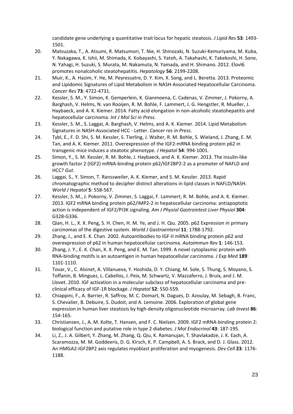candidate gene underlying a quantitative trait locus for hepatic steatosis. *J Lipid Res* **53**: 1493‐ 1501.

- 20. Matsuzaka, T., A. Atsumi, R. Matsumori, T. Nie, H. Shinozaki, N. Suzuki‐Kemuriyama, M. Kuba, Y. Nakagawa, K. Ishii, M. Shimada, K. Kobayashi, S. Yatoh, A. Takahashi, K. Takekoshi, H. Sone, N. Yahagi, H. Suzuki, S. Murata, M. Nakamuta, N. Yamada, and H. Shimano. 2012. Elovl6 promotes nonalcoholic steatohepatitis. *Hepatology* **56**: 2199‐2208.
- 21. Muir, K., A. Hazim, Y. He, M. Peyressatre, D. Y. Kim, X. Song, and L. Beretta. 2013. Proteomic and Lipidomic Signatures of Lipid Metabolism in NASH‐Associated Hepatocellular Carcinoma. *Cancer Res* **73**: 4722‐4731.
- 22. Kessler, S. M., Y. Simon, K. Gemperlein, K. Gianmoena, C. Cadenas, V. Zimmer, J. Pokorny, A. Barghash, V. Helms, N. van Rooijen, R. M. Bohle, F. Lammert, J. G. Hengstler, R. Mueller, J. Haybaeck, and A. K. Kiemer. 2014. Fatty acid elongation in non-alcoholic steatohepatitis and hepatocellular carcinoma. *Int J Mol Sci in Press*.
- 23. Kessler, S. M., S. Laggai, A. Barghash, V. Helms, and A. K. Kiemer. 2014. Lipid Metabolism Signatures in NASH‐Associated HCC ‐ Letter. *Cancer res in Press*.
- 24. Tybl, E., F. D. Shi, S. M. Kessler, S. Tierling, J. Walter, R. M. Bohle, S. Wieland, J. Zhang, E. M. Tan, and A. K. Kiemer. 2011. Overexpression of the IGF2‐mRNA binding protein p62 in transgenic mice induces a steatotic phenotype. *J Hepatol* **54**: 994‐1001.
- 25. Simon, Y., S. M. Kessler, R. M. Bohle, J. Haybaeck, and A. K. Kiemer. 2013. The insulin‐like growth factor 2 (IGF2) mRNA‐binding protein p62/IGF2BP2‐2 as a promoter of NAFLD and HCC? *Gut*.
- 26. Laggai, S., Y. Simon, T. Ranssweiler, A. K. Kiemer, and S. M. Kessler. 2013. Rapid chromatographic method to decipher distinct alterations in lipid classes in NAFLD/NASH. *World J Hepatol* **5**: 558‐567.
- 27. Kessler, S. M., J. Pokorny, V. Zimmer, S. Laggai, F. Lammert, R. M. Bohle, and A. K. Kiemer. 2013. IGF2 mRNA binding protein p62/IMP2‐2 in hepatocellular carcinoma: antiapoptotic action is independent of IGF2/PI3K signaling. *Am J Physiol Gastrointest Liver Physiol* **304**: G328‐G336.
- 28. Qian, H. L., X. X. Peng, S. H. Chen, H. M. Ye, and J. H. Qiu. 2005. p62 Expression in primary carcinomas of the digestive system. *World J Gastroenterol* **11**: 1788‐1792.
- 29. Zhang, J., and E. K. Chan. 2002. Autoantibodies to IGF-II mRNA binding protein p62 and overexpression of p62 in human hepatocellular carcinoma. *Autoimmun Rev* **1**: 146‐153.
- 30. Zhang, J. Y., E. K. Chan, X. X. Peng, and E. M. Tan. 1999. A novel cytoplasmic protein with RNA‐binding motifs is an autoantigen in human hepatocellular carcinoma. *J Exp Med* **189**: 1101‐1110.
- 31. Tovar, V., C. Alsinet, A. Villanueva, Y. Hoshida, D. Y. Chiang, M. Sole, S. Thung, S. Moyano, S. Toffanin, B. Minguez, L. Cabellos, J. Peix, M. Schwartz, V. Mazzaferro, J. Bruix, and J. M. Llovet. 2010. IGF activation in a molecular subclass of hepatocellular carcinoma and pre‐ clinical efficacy of IGF‐1R blockage. *J Hepatol* **52**: 550‐559.
- 32. Chiappini, F., A. Barrier, R. Saffroy, M. C. Domart, N. Dagues, D. Azoulay, M. Sebagh, B. Franc, S. Chevalier, B. Debuire, S. Dudoit, and A. Lemoine. 2006. Exploration of global gene expression in human liver steatosis by high‐density oligonucleotide microarray. *Lab Invest* **86**: 154‐165.
- 33. Christiansen, J., A. M. Kolte, T. Hansen, and F. C. Nielsen. 2009. IGF2 mRNA‐binding protein 2: biological function and putative role in type 2 diabetes. *J Mol Endocrinol* **43**: 187‐195.
- 34. Li, Z., J. A. Gilbert, Y. Zhang, M. Zhang, Q. Qiu, K. Ramanujan, T. Shavlakadze, J. K. Eash, A. Scaramozza, M. M. Goddeeris, D. G. Kirsch, K. P. Campbell, A. S. Brack, and D. J. Glass. 2012. An HMGA2‐IGF2BP2 axis regulates myoblast proliferation and myogenesis. *Dev Cell* **23**: 1176‐ 1188.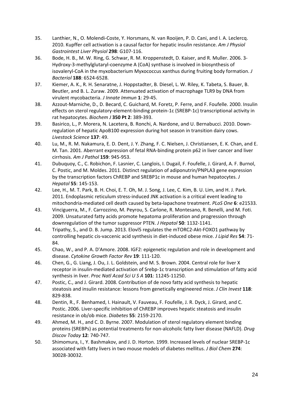- 35. Lanthier, N., O. Molendi‐Coste, Y. Horsmans, N. van Rooijen, P. D. Cani, and I. A. Leclercq. 2010. Kupffer cell activation is a causal factor for hepatic insulin resistance. *Am J Physiol Gastrointest Liver Physiol* **298**: G107‐116.
- 36. Bode, H. B., M. W. Ring, G. Schwar, R. M. Kroppenstedt, D. Kaiser, and R. Muller. 2006. 3‐ Hydroxy‐3‐methylglutaryl‐coenzyme A (CoA) synthase is involved in biosynthesis of isovaleryl‐CoA in the myxobacterium Myxococcus xanthus during fruiting body formation. *J Bacteriol* **188**: 6524‐6528.
- 37. Kiemer, A. K., R. H. Senaratne, J. Hoppstadter, B. Diesel, L. W. Riley, K. Tabeta, S. Bauer, B. Beutler, and B. L. Zuraw. 2009. Attenuated activation of macrophage TLR9 by DNA from virulent mycobacteria. *J Innate Immun* **1**: 29‐45.
- 38. Azzout‐Marniche, D., D. Becard, C. Guichard, M. Foretz, P. Ferre, and F. Foufelle. 2000. Insulin effects on sterol regulatory‐element‐binding protein‐1c (SREBP‐1c) transcriptional activity in rat hepatocytes. *Biochem J* **350 Pt 2**: 389‐393.
- 39. Basirico, L., P. Morera, N. Lacetera, B. Ronchi, A. Nardone, and U. Bernabucci. 2010. Downregulation of hepatic ApoB100 expression during hot season in transition dairy cows. *Livestock Science* **137**: 49.
- 40. Lu, M., R. M. Nakamura, E. D. Dent, J. Y. Zhang, F. C. Nielsen, J. Christiansen, E. K. Chan, and E. M. Tan. 2001. Aberrant expression of fetal RNA‐binding protein p62 in liver cancer and liver cirrhosis. *Am J Pathol* **159**: 945‐953.
- 41. Dubuquoy, C., C. Robichon, F. Lasnier, C. Langlois, I. Dugail, F. Foufelle, J. Girard, A. F. Burnol, C. Postic, and M. Moldes. 2011. Distinct regulation of adiponutrin/PNPLA3 gene expression by the transcription factors ChREBP and SREBP1c in mouse and human hepatocytes. *J Hepatol* **55**: 145‐153.
- 42. Lee, H., M. T. Park, B. H. Choi, E. T. Oh, M. J. Song, J. Lee, C. Kim, B. U. Lim, and H. J. Park. 2011. Endoplasmic reticulum stress-induced JNK activation is a critical event leading to mitochondria‐mediated cell death caused by beta‐lapachone treatment. *PLoS One* **6**: e21533.
- 43. Vinciguerra, M., F. Carrozzino, M. Peyrou, S. Carlone, R. Montesano, R. Benelli, and M. Foti. 2009. Unsaturated fatty acids promote hepatoma proliferation and progression through downregulation of the tumor suppressor PTEN. *J Hepatol* **50**: 1132‐1141.
- 44. Tripathy, S., and D. B. Jump. 2013. ElovI5 regulates the mTORC2-Akt-FOXO1 pathway by controlling hepatic cis‐vaccenic acid synthesis in diet‐induced obese mice. *J Lipid Res* **54**: 71‐ 84.
- 45. Chao, W., and P. A. D'Amore. 2008. IGF2: epigenetic regulation and role in development and disease. *Cytokine Growth Factor Rev* **19**: 111‐120.
- 46. Chen, G., G. Liang, J. Ou, J. L. Goldstein, and M. S. Brown. 2004. Central role for liver X receptor in insulin‐mediated activation of Srebp‐1c transcription and stimulation of fatty acid synthesis in liver. *Proc Natl Acad Sci U S A* **101**: 11245‐11250.
- 47. Postic, C., and J. Girard. 2008. Contribution of de novo fatty acid synthesis to hepatic steatosis and insulin resistance: lessons from genetically engineered mice. *J Clin Invest* **118**: 829‐838.
- 48. Dentin, R., F. Benhamed, I. Hainault, V. Fauveau, F. Foufelle, J. R. Dyck, J. Girard, and C. Postic. 2006. Liver‐specific inhibition of ChREBP improves hepatic steatosis and insulin resistance in ob/ob mice. *Diabetes* **55**: 2159‐2170.
- 49. Ahmed, M. H., and C. D. Byrne. 2007. Modulation of sterol regulatory element binding proteins (SREBPs) as potential treatments for non‐alcoholic fatty liver disease (NAFLD). *Drug Discov Today* **12**: 740‐747.
- 50. Shimomura, I., Y. Bashmakov, and J. D. Horton. 1999. Increased levels of nuclear SREBP‐1c associated with fatty livers in two mouse models of diabetes mellitus. *J Biol Chem* **274**: 30028‐30032.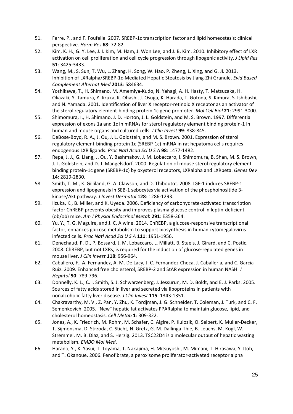- 51. Ferre, P., and F. Foufelle. 2007. SREBP‐1c transcription factor and lipid homeostasis: clinical perspective. *Horm Res* **68**: 72‐82.
- 52. Kim, K. H., G. Y. Lee, J. I. Kim, M. Ham, J. Won Lee, and J. B. Kim. 2010. Inhibitory effect of LXR activation on cell proliferation and cell cycle progression through lipogenic activity. *J Lipid Res* **51**: 3425‐3433.
- 53. Wang, M., S. Sun, T. Wu, L. Zhang, H. Song, W. Hao, P. Zheng, L. Xing, and G. Ji. 2013. Inhibition of LXRalpha/SREBP‐1c‐Mediated Hepatic Steatosis by Jiang‐Zhi Granule. *Evid Based Complement Alternat Med* **2013**: 584634.
- 54. Yoshikawa, T., H. Shimano, M. Amemiya‐Kudo, N. Yahagi, A. H. Hasty, T. Matsuzaka, H. Okazaki, Y. Tamura, Y. Iizuka, K. Ohashi, J. Osuga, K. Harada, T. Gotoda, S. Kimura, S. Ishibashi, and N. Yamada. 2001. Identification of liver X receptor‐retinoid X receptor as an activator of the sterol regulatory element‐binding protein 1c gene promoter. *Mol Cell Biol* **21**: 2991‐3000.
- 55. Shimomura, I., H. Shimano, J. D. Horton, J. L. Goldstein, and M. S. Brown. 1997. Differential expression of exons 1a and 1c in mRNAs for sterol regulatory element binding protein‐1 in human and mouse organs and cultured cells. *J Clin Invest* **99**: 838‐845.
- 56. DeBose‐Boyd, R. A., J. Ou, J. L. Goldstein, and M. S. Brown. 2001. Expression of sterol regulatory element‐binding protein 1c (SREBP‐1c) mRNA in rat hepatoma cells requires endogenous LXR ligands. *Proc Natl Acad Sci U S A* **98**: 1477‐1482.
- 57. Repa, J. J., G. Liang, J. Ou, Y. Bashmakov, J. M. Lobaccaro, I. Shimomura, B. Shan, M. S. Brown, J. L. Goldstein, and D. J. Mangelsdorf. 2000. Regulation of mouse sterol regulatory element‐ binding protein‐1c gene (SREBP‐1c) by oxysterol receptors, LXRalpha and LXRbeta. *Genes Dev* **14**: 2819‐2830.
- 58. Smith, T. M., K. Gilliland, G. A. Clawson, and D. Thiboutot. 2008. IGF‐1 induces SREBP‐1 expression and lipogenesis in SEB‐1 sebocytes via activation of the phosphoinositide 3‐ kinase/Akt pathway. *J Invest Dermatol* **128**: 1286‐1293.
- 59. Iizuka, K., B. Miller, and K. Uyeda. 2006. Deficiency of carbohydrate‐activated transcription factor ChREBP prevents obesity and improves plasma glucose control in leptin‐deficient (ob/ob) mice. *Am J Physiol Endocrinol Metab* **291**: E358‐364.
- 60. Yu, Y., T. G. Maguire, and J. C. Alwine. 2014. ChREBP, a glucose‐responsive transcriptional factor, enhances glucose metabolism to support biosynthesis in human cytomegalovirusinfected cells. *Proc Natl Acad Sci U S A* **111**: 1951‐1956.
- 61. Denechaud, P. D., P. Bossard, J. M. Lobaccaro, L. Millatt, B. Staels, J. Girard, and C. Postic. 2008. ChREBP, but not LXRs, is required for the induction of glucose‐regulated genes in mouse liver. *J Clin Invest* **118**: 956‐964.
- 62. Caballero, F., A. Fernandez, A. M. De Lacy, J. C. Fernandez‐Checa, J. Caballeria, and C. Garcia‐ Ruiz. 2009. Enhanced free cholesterol, SREBP‐2 and StAR expression in human NASH. *J Hepatol* **50**: 789‐796.
- 63. Donnelly, K. L., C. I. Smith, S. J. Schwarzenberg, J. Jessurun, M. D. Boldt, and E. J. Parks. 2005. Sources of fatty acids stored in liver and secreted via lipoproteins in patients with nonalcoholic fatty liver disease. *J Clin Invest* **115**: 1343‐1351.
- 64. Chakravarthy, M. V., Z. Pan, Y. Zhu, K. Tordjman, J. G. Schneider, T. Coleman, J. Turk, and C. F. Semenkovich. 2005. "New" hepatic fat activates PPARalpha to maintain glucose, lipid, and cholesterol homeostasis. *Cell Metab* **1**: 309‐322.
- 65. Jones, A., K. Friedrich, M. Rohm, M. Schafer, C. Algire, P. Kulozik, O. Seibert, K. Muller‐Decker, T. Sijmonsma, D. Strzoda, C. Sticht, N. Gretz, G. M. Dallinga‐Thie, B. Leuchs, M. Kogl, W. Stremmel, M. B. Diaz, and S. Herzig. 2013. TSC22D4 is a molecular output of hepatic wasting metabolism. *EMBO Mol Med*.
- 66. Harano, Y., K. Yasui, T. Toyama, T. Nakajima, H. Mitsuyoshi, M. Mimani, T. Hirasawa, Y. Itoh, and T. Okanoue. 2006. Fenofibrate, a peroxisome proliferator‐activated receptor alpha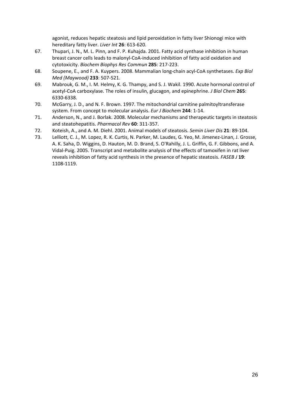agonist, reduces hepatic steatosis and lipid peroxidation in fatty liver Shionogi mice with hereditary fatty liver. *Liver Int* **26**: 613‐620.

- 67. Thupari, J. N., M. L. Pinn, and F. P. Kuhajda. 2001. Fatty acid synthase inhibition in human breast cancer cells leads to malonyl‐CoA‐induced inhibition of fatty acid oxidation and cytotoxicity. *Biochem Biophys Res Commun* **285**: 217‐223.
- 68. Soupene, E., and F. A. Kuypers. 2008. Mammalian long‐chain acyl‐CoA synthetases. *Exp Biol Med (Maywood)* **233**: 507‐521.
- 69. Mabrouk, G. M., I. M. Helmy, K. G. Thampy, and S. J. Wakil. 1990. Acute hormonal control of acetyl‐CoA carboxylase. The roles of insulin, glucagon, and epinephrine. *J Biol Chem* **265**: 6330‐6338.
- 70. McGarry, J. D., and N. F. Brown. 1997. The mitochondrial carnitine palmitoyltransferase system. From concept to molecular analysis. *Eur J Biochem* **244**: 1‐14.
- 71. Anderson, N., and J. Borlak. 2008. Molecular mechanisms and therapeutic targets in steatosis and steatohepatitis. *Pharmacol Rev* **60**: 311‐357.
- 72. Koteish, A., and A. M. Diehl. 2001. Animal models of steatosis. *Semin Liver Dis* **21**: 89‐104.
- 73. Lelliott, C. J., M. Lopez, R. K. Curtis, N. Parker, M. Laudes, G. Yeo, M. Jimenez‐Linan, J. Grosse, A. K. Saha, D. Wiggins, D. Hauton, M. D. Brand, S. O'Rahilly, J. L. Griffin, G. F. Gibbons, and A. Vidal‐Puig. 2005. Transcript and metabolite analysis of the effects of tamoxifen in rat liver reveals inhibition of fatty acid synthesis in the presence of hepatic steatosis. *FASEB J* **19**: 1108‐1119.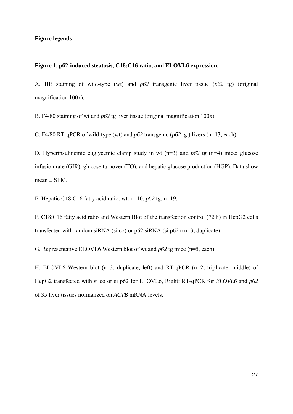# **Figure legends**

#### **Figure 1. p62-induced steatosis, C18:C16 ratio, and ELOVL6 expression.**

A. HE staining of wild-type (wt) and *p62* transgenic liver tissue (*p62* tg) (original magnification 100x).

B. F4/80 staining of wt and *p62* tg liver tissue (original magnification 100x).

C. F4/80 RT-qPCR of wild-type (wt) and *p62* transgenic (*p62* tg ) livers (n=13, each).

D. Hyperinsulinemic euglycemic clamp study in wt (n=3) and *p62* tg (n=4) mice: glucose infusion rate (GIR), glucose turnover (TO), and hepatic glucose production (HGP). Data show  $mean \pm SEM$ .

E. Hepatic C18:C16 fatty acid ratio: wt: n=10, *p62* tg: n=19.

F. C18:C16 fatty acid ratio and Western Blot of the transfection control (72 h) in HepG2 cells transfected with random siRNA (si co) or  $p62$  siRNA (si  $p62$ ) (n=3, duplicate)

G. Representative ELOVL6 Western blot of wt and *p62* tg mice (n=5, each).

H. ELOVL6 Western blot (n=3, duplicate, left) and RT-qPCR (n=2, triplicate, middle) of HepG2 transfected with si co or si p62 for ELOVL6, Right: RT-qPCR for *ELOVL6* and *p62* of 35 liver tissues normalized on *ACTB* mRNA levels.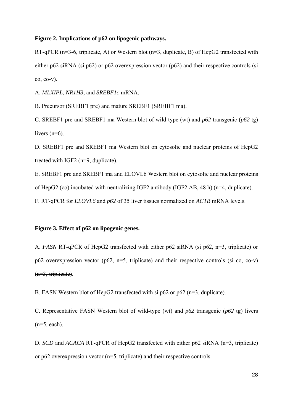#### **Figure 2. Implications of p62 on lipogenic pathways.**

RT-qPCR (n=3-6, triplicate, A) or Western blot (n=3, duplicate, B) of HepG2 transfected with either p62 siRNA (si p62) or p62 overexpression vector (p62) and their respective controls (si co, co-v).

A. *MLXIPL*, *NR1H3,* and *SREBF1c* mRNA.

B. Precursor (SREBF1 pre) and mature SREBF1 (SREBF1 ma).

C. SREBF1 pre and SREBF1 ma Western blot of wild-type (wt) and *p62* transgenic (*p62* tg) livers  $(n=6)$ .

D. SREBF1 pre and SREBF1 ma Western blot on cytosolic and nuclear proteins of HepG2 treated with IGF2 (n=9, duplicate).

E. SREBF1 pre and SREBF1 ma and ELOVL6 Western blot on cytosolic and nuclear proteins of HepG2 (co) incubated with neutralizing IGF2 antibody (IGF2 AB, 48 h) (n=4, duplicate).

F. RT-qPCR for *ELOVL6* and *p62* of 35 liver tissues normalized on *ACTB* mRNA levels.

# **Figure 3. Effect of p62 on lipogenic genes.**

A. *FASN* RT-qPCR of HepG2 transfected with either p62 siRNA (si p62, n=3, triplicate) or p62 overexpression vector (p62, n=5, triplicate) and their respective controls (si co, co-v)  $(n=3,$  triplicate).

B. FASN Western blot of HepG2 transfected with si p62 or p62 (n=3, duplicate).

C. Representative FASN Western blot of wild-type (wt) and *p62* transgenic (*p62* tg) livers  $(n=5, each)$ .

D. *SCD* and *ACACA* RT-qPCR of HepG2 transfected with either p62 siRNA (n=3, triplicate) or p62 overexpression vector (n=5, triplicate) and their respective controls.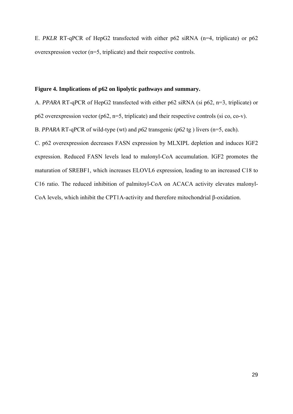E. *PKLR* RT-qPCR of HepG2 transfected with either p62 siRNA (n=4, triplicate) or p62 overexpression vector (n=5, triplicate) and their respective controls.

# **Figure 4. Implications of p62 on lipolytic pathways and summary.**

A. *PPARA* RT-qPCR of HepG2 transfected with either p62 siRNA (si p62, n=3, triplicate) or p62 overexpression vector (p62, n=5, triplicate) and their respective controls (si co, co-v). B. *PPARA* RT-qPCR of wild-type (wt) and *p62* transgenic (*p62* tg ) livers (n=5, each). C. p62 overexpression decreases FASN expression by MLXIPL depletion and induces IGF2 expression. Reduced FASN levels lead to malonyl-CoA accumulation. IGF2 promotes the maturation of SREBF1, which increases ELOVL6 expression, leading to an increased C18 to C16 ratio. The reduced inhibition of palmitoyl-CoA on ACACA activity elevates malonyl-CoA levels, which inhibit the CPT1A-activity and therefore mitochondrial β-oxidation.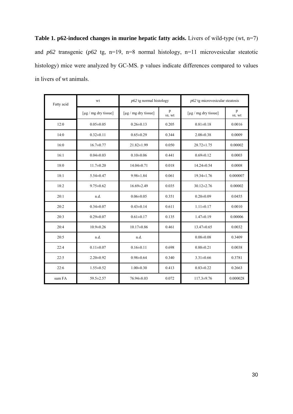**Table 1. p62-induced changes in murine hepatic fatty acids.** Livers of wild-type (wt, n=7) and *p62* transgenic (*p62* tg, n=19, n=8 normal histology, n=11 microvesicular steatotic histology) mice were analyzed by GC-MS. p values indicate differences compared to values in livers of wt animals.

| Fatty acid | wt                         | $p62$ tg normal histology  |             | $p62$ tg microvesicular steatosis |             |
|------------|----------------------------|----------------------------|-------------|-----------------------------------|-------------|
|            | [ $\mu$ g / mg dry tissue] | [ $\mu$ g / mg dry tissue] | p<br>vs. wt | [ $\mu$ g / mg dry tissue]        | p<br>vs. wt |
| 12:0       | $0.05 \pm 0.05$            | $0.26 \pm 0.13$            | 0.205       | $0.81 \pm 0.18$                   | 0.0016      |
| 14:0       | $0.32 \pm 0.11$            | $0.65 \pm 0.29$            | 0.344       | $2.08 \pm 0.38$                   | 0.0009      |
| 16:0       | $16.7 \pm 0.77$            | $21.82 \pm 1.99$           | 0.050       | $28.72 \pm 1.75$                  | 0.00002     |
| 16:1       | $0.04 \pm 0.03$            | $0.10 \pm 0.06$            | 0.441       | $0.69 \pm 0.12$                   | 0.0003      |
| 18:0       | $11.7 \pm 0.20$            | $14.04 \pm 0.71$           | 0.018       | $14.24 \pm 0.54$                  | 0.0008      |
| 18:1       | $5.54 \pm 0.47$            | $9.98 \pm 1.84$            | 0.061       | $19.34 \pm 1.76$                  | 0.000007    |
| 18:2       | $9.75 \pm 0.62$            | $16.69 \pm 2.49$           | 0.035       | $30.12 \pm 2.76$                  | 0.00002     |
| 20:1       | n.d.                       | $0.06 \pm 0.05$            | 0.351       | $0.20 \pm 0.09$                   | 0.0455      |
| 20:2       | $0.34 \pm 0.07$            | $0.43 \pm 0.14$            | 0.611       | $1.11 \pm 0.17$                   | 0.0010      |
| 20:3       | $0.29 \pm 0.07$            | $0.61 \pm 0.17$            | 0.135       | $1.47 \pm 0.19$                   | 0.00006     |
| 20:4       | $10.9 \pm 0.26$            | $10.17 \pm 0.86$           | 0.461       | $13.47 \pm 0.65$                  | 0.0032      |
| 20:5       | n.d.                       | n.d.                       |             | $0.08 \pm 0.08$                   | 0.3409      |
| 22:4       | $0.11 \pm 0.07$            | $0.16 \pm 0.11$            | 0.698       | $0.88 \pm 0.21$                   | 0.0038      |
| 22:5       | $2.20 \pm 0.92$            | $0.98 \pm 0.64$            | 0.340       | $3.31 \pm 0.66$                   | 0.3781      |
| 22:6       | $1.55 \pm 0.52$            | $1.00 \pm 0.30$            | 0.413       | $0.83 \pm 0.22$                   | 0.2663      |
| sum FA     | $59.5 \pm 2.57$            | $76.94 \pm 8.03$           | 0.072       | $117.3 \pm 9.76$                  | 0.000028    |